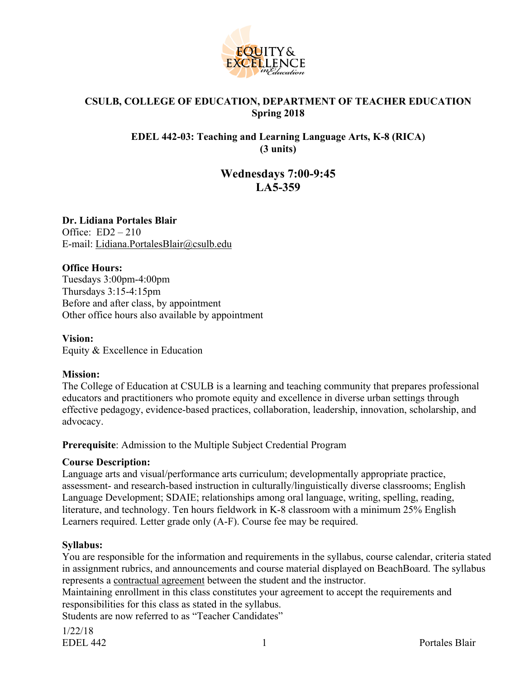

#### **CSULB, COLLEGE OF EDUCATION, DEPARTMENT OF TEACHER EDUCATION Spring 2018**

#### **EDEL 442-03: Teaching and Learning Language Arts, K-8 (RICA) (3 units)**

# **Wednesdays 7:00-9:45 LA5-359**

**Dr. Lidiana Portales Blair** Office:  $ED2 - 210$ E-mail: Lidiana.PortalesBlair@csulb.edu

#### **Office Hours:**

Tuesdays 3:00pm-4:00pm Thursdays 3:15-4:15pm Before and after class, by appointment Other office hours also available by appointment

#### **Vision:**

Equity & Excellence in Education

#### **Mission:**

The College of Education at CSULB is a learning and teaching community that prepares professional educators and practitioners who promote equity and excellence in diverse urban settings through effective pedagogy, evidence-based practices, collaboration, leadership, innovation, scholarship, and advocacy.

#### **Prerequisite**: Admission to the Multiple Subject Credential Program

#### **Course Description:**

Language arts and visual/performance arts curriculum; developmentally appropriate practice, assessment- and research-based instruction in culturally/linguistically diverse classrooms; English Language Development; SDAIE; relationships among oral language, writing, spelling, reading, literature, and technology. Ten hours fieldwork in K-8 classroom with a minimum 25% English Learners required. Letter grade only (A-F). Course fee may be required.

#### **Syllabus:**

You are responsible for the information and requirements in the syllabus, course calendar, criteria stated in assignment rubrics, and announcements and course material displayed on BeachBoard. The syllabus represents a contractual agreement between the student and the instructor.

Maintaining enrollment in this class constitutes your agreement to accept the requirements and responsibilities for this class as stated in the syllabus.

Students are now referred to as "Teacher Candidates"

1/22/18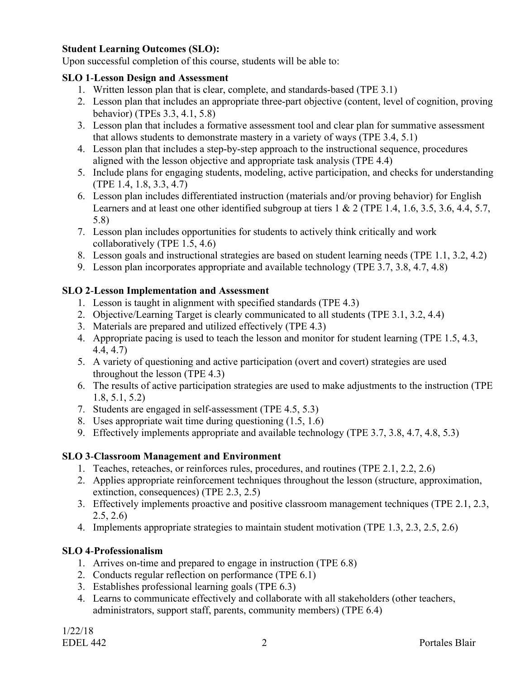#### **Student Learning Outcomes (SLO):**

Upon successful completion of this course, students will be able to:

#### **SLO 1**-**Lesson Design and Assessment**

- 1. Written lesson plan that is clear, complete, and standards-based (TPE 3.1)
- 2. Lesson plan that includes an appropriate three-part objective (content, level of cognition, proving behavior) (TPEs 3.3, 4.1, 5.8)
- 3. Lesson plan that includes a formative assessment tool and clear plan for summative assessment that allows students to demonstrate mastery in a variety of ways (TPE 3.4, 5.1)
- 4. Lesson plan that includes a step-by-step approach to the instructional sequence, procedures aligned with the lesson objective and appropriate task analysis (TPE 4.4)
- 5. Include plans for engaging students, modeling, active participation, and checks for understanding (TPE 1.4, 1.8, 3.3, 4.7)
- 6. Lesson plan includes differentiated instruction (materials and/or proving behavior) for English Learners and at least one other identified subgroup at tiers 1 & 2 (TPE 1.4, 1.6, 3.5, 3.6, 4.4, 5.7, 5.8)
- 7. Lesson plan includes opportunities for students to actively think critically and work collaboratively (TPE 1.5, 4.6)
- 8. Lesson goals and instructional strategies are based on student learning needs (TPE 1.1, 3.2, 4.2)
- 9. Lesson plan incorporates appropriate and available technology (TPE 3.7, 3.8, 4.7, 4.8)

#### **SLO 2**-**Lesson Implementation and Assessment**

- 1. Lesson is taught in alignment with specified standards (TPE 4.3)
- 2. Objective/Learning Target is clearly communicated to all students (TPE 3.1, 3.2, 4.4)
- 3. Materials are prepared and utilized effectively (TPE 4.3)
- 4. Appropriate pacing is used to teach the lesson and monitor for student learning (TPE 1.5, 4.3, 4.4, 4.7)
- 5. A variety of questioning and active participation (overt and covert) strategies are used throughout the lesson (TPE 4.3)
- 6. The results of active participation strategies are used to make adjustments to the instruction (TPE 1.8, 5.1, 5.2)
- 7. Students are engaged in self-assessment (TPE 4.5, 5.3)
- 8. Uses appropriate wait time during questioning (1.5, 1.6)
- 9. Effectively implements appropriate and available technology (TPE 3.7, 3.8, 4.7, 4.8, 5.3)

#### **SLO 3**-**Classroom Management and Environment**

- 1. Teaches, reteaches, or reinforces rules, procedures, and routines (TPE 2.1, 2.2, 2.6)
- 2. Applies appropriate reinforcement techniques throughout the lesson (structure, approximation, extinction, consequences) (TPE 2.3, 2.5)
- 3. Effectively implements proactive and positive classroom management techniques (TPE 2.1, 2.3, 2.5, 2.6)
- 4. Implements appropriate strategies to maintain student motivation (TPE 1.3, 2.3, 2.5, 2.6)

#### **SLO 4**-**Professionalism**

- 1. Arrives on-time and prepared to engage in instruction (TPE 6.8)
- 2. Conducts regular reflection on performance (TPE 6.1)
- 3. Establishes professional learning goals (TPE 6.3)
- 4. Learns to communicate effectively and collaborate with all stakeholders (other teachers, administrators, support staff, parents, community members) (TPE 6.4)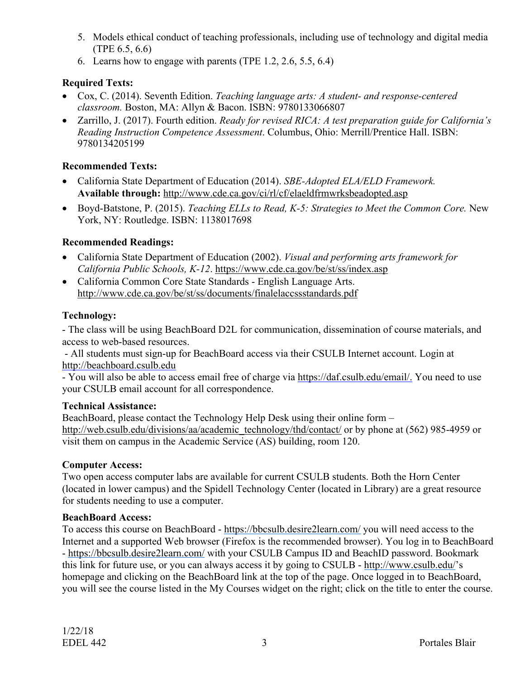- 5. Models ethical conduct of teaching professionals, including use of technology and digital media (TPE 6.5, 6.6)
- 6. Learns how to engage with parents (TPE 1.2, 2.6, 5.5, 6.4)

### **Required Texts:**

- Cox, C. (2014). Seventh Edition. *Teaching language arts: A student- and response-centered classroom.* Boston, MA: Allyn & Bacon. ISBN: 9780133066807
- Zarrillo, J. (2017). Fourth edition. *Ready for revised RICA: A test preparation guide for California's Reading Instruction Competence Assessment*. Columbus, Ohio: Merrill/Prentice Hall. ISBN: 9780134205199

### **Recommended Texts:**

- California State Department of Education (2014). *SBE-Adopted ELA/ELD Framework.* **Available through:** http://www.cde.ca.gov/ci/rl/cf/elaeldfrmwrksbeadopted.asp
- Boyd-Batstone, P. (2015). *Teaching ELLs to Read, K-5: Strategies to Meet the Common Core.* New York, NY: Routledge. ISBN: 1138017698

## **Recommended Readings:**

- California State Department of Education (2002). *Visual and performing arts framework for California Public Schools, K-12*. https://www.cde.ca.gov/be/st/ss/index.asp
- California Common Core State Standards English Language Arts. http://www.cde.ca.gov/be/st/ss/documents/finalelaccssstandards.pdf

## **Technology:**

- The class will be using BeachBoard D2L for communication, dissemination of course materials, and access to web-based resources.

- All students must sign-up for BeachBoard access via their CSULB Internet account. Login at http://beachboard.csulb.edu

- You will also be able to access email free of charge via https://daf.csulb.edu/email/. You need to use your CSULB email account for all correspondence.

#### **Technical Assistance:**

BeachBoard, please contact the Technology Help Desk using their online form – http://web.csulb.edu/divisions/aa/academic\_technology/thd/contact/ or by phone at (562) 985-4959 or visit them on campus in the Academic Service (AS) building, room 120.

#### **Computer Access:**

Two open access computer labs are available for current CSULB students. Both the Horn Center (located in lower campus) and the Spidell Technology Center (located in Library) are a great resource for students needing to use a computer.

#### **BeachBoard Access:**

To access this course on BeachBoard - https://bbcsulb.desire2learn.com/ you will need access to the Internet and a supported Web browser (Firefox is the recommended browser). You log in to BeachBoard - https://bbcsulb.desire2learn.com/ with your CSULB Campus ID and BeachID password. Bookmark this link for future use, or you can always access it by going to CSULB - http://www.csulb.edu/'s homepage and clicking on the BeachBoard link at the top of the page. Once logged in to BeachBoard, you will see the course listed in the My Courses widget on the right; click on the title to enter the course.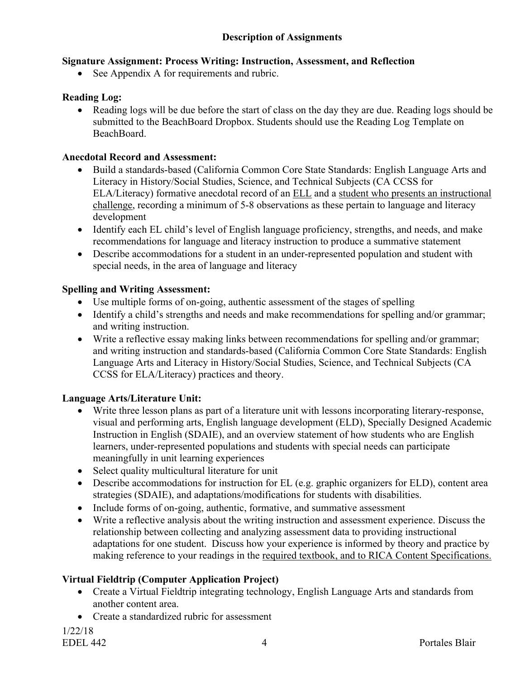#### **Description of Assignments**

#### **Signature Assignment: Process Writing: Instruction, Assessment, and Reflection**

• See Appendix A for requirements and rubric.

#### **Reading Log:**

• Reading logs will be due before the start of class on the day they are due. Reading logs should be submitted to the BeachBoard Dropbox. Students should use the Reading Log Template on BeachBoard.

#### **Anecdotal Record and Assessment:**

- Build a standards-based (California Common Core State Standards: English Language Arts and Literacy in History/Social Studies, Science, and Technical Subjects (CA CCSS for ELA/Literacy) formative anecdotal record of an ELL and a student who presents an instructional challenge, recording a minimum of 5-8 observations as these pertain to language and literacy development
- Identify each EL child's level of English language proficiency, strengths, and needs, and make recommendations for language and literacy instruction to produce a summative statement
- Describe accommodations for a student in an under-represented population and student with special needs, in the area of language and literacy

#### **Spelling and Writing Assessment:**

- Use multiple forms of on-going, authentic assessment of the stages of spelling
- Identify a child's strengths and needs and make recommendations for spelling and/or grammar; and writing instruction.
- Write a reflective essay making links between recommendations for spelling and/or grammar; and writing instruction and standards-based (California Common Core State Standards: English Language Arts and Literacy in History/Social Studies, Science, and Technical Subjects (CA CCSS for ELA/Literacy) practices and theory.

#### **Language Arts/Literature Unit:**

- Write three lesson plans as part of a literature unit with lessons incorporating literary-response, visual and performing arts, English language development (ELD), Specially Designed Academic Instruction in English (SDAIE), and an overview statement of how students who are English learners, under-represented populations and students with special needs can participate meaningfully in unit learning experiences
- Select quality multicultural literature for unit
- Describe accommodations for instruction for EL (e.g. graphic organizers for ELD), content area strategies (SDAIE), and adaptations/modifications for students with disabilities.
- Include forms of on-going, authentic, formative, and summative assessment
- Write a reflective analysis about the writing instruction and assessment experience. Discuss the relationship between collecting and analyzing assessment data to providing instructional adaptations for one student. Discuss how your experience is informed by theory and practice by making reference to your readings in the required textbook, and to RICA Content Specifications.

#### **Virtual Fieldtrip (Computer Application Project)**

- Create a Virtual Fieldtrip integrating technology, English Language Arts and standards from another content area.
- Create a standardized rubric for assessment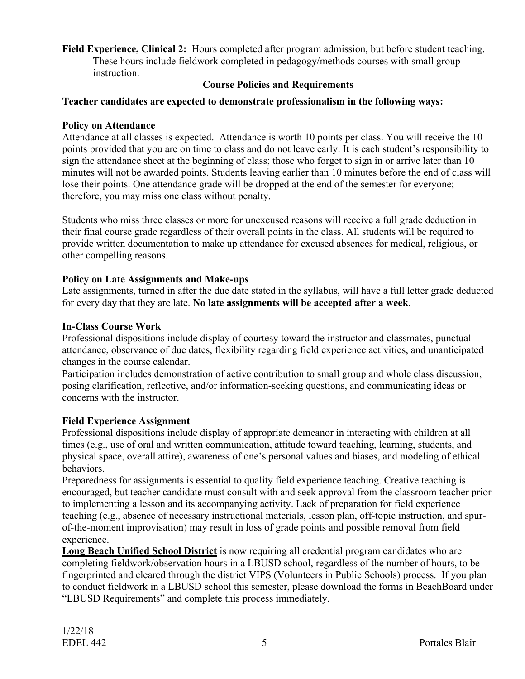**Field Experience, Clinical 2:** Hours completed after program admission, but before student teaching. These hours include fieldwork completed in pedagogy/methods courses with small group instruction.

#### **Course Policies and Requirements**

#### **Teacher candidates are expected to demonstrate professionalism in the following ways:**

#### **Policy on Attendance**

Attendance at all classes is expected. Attendance is worth 10 points per class. You will receive the 10 points provided that you are on time to class and do not leave early. It is each student's responsibility to sign the attendance sheet at the beginning of class; those who forget to sign in or arrive later than 10 minutes will not be awarded points. Students leaving earlier than 10 minutes before the end of class will lose their points. One attendance grade will be dropped at the end of the semester for everyone; therefore, you may miss one class without penalty.

Students who miss three classes or more for unexcused reasons will receive a full grade deduction in their final course grade regardless of their overall points in the class. All students will be required to provide written documentation to make up attendance for excused absences for medical, religious, or other compelling reasons.

#### **Policy on Late Assignments and Make-ups**

Late assignments, turned in after the due date stated in the syllabus, will have a full letter grade deducted for every day that they are late. **No late assignments will be accepted after a week**.

#### **In-Class Course Work**

Professional dispositions include display of courtesy toward the instructor and classmates, punctual attendance, observance of due dates, flexibility regarding field experience activities, and unanticipated changes in the course calendar.

Participation includes demonstration of active contribution to small group and whole class discussion, posing clarification, reflective, and/or information-seeking questions, and communicating ideas or concerns with the instructor.

#### **Field Experience Assignment**

Professional dispositions include display of appropriate demeanor in interacting with children at all times (e.g., use of oral and written communication, attitude toward teaching, learning, students, and physical space, overall attire), awareness of one's personal values and biases, and modeling of ethical behaviors.

Preparedness for assignments is essential to quality field experience teaching. Creative teaching is encouraged, but teacher candidate must consult with and seek approval from the classroom teacher prior to implementing a lesson and its accompanying activity. Lack of preparation for field experience teaching (e.g., absence of necessary instructional materials, lesson plan, off-topic instruction, and spurof-the-moment improvisation) may result in loss of grade points and possible removal from field experience.

**Long Beach Unified School District** is now requiring all credential program candidates who are completing fieldwork/observation hours in a LBUSD school, regardless of the number of hours, to be fingerprinted and cleared through the district VIPS (Volunteers in Public Schools) process. If you plan to conduct fieldwork in a LBUSD school this semester, please download the forms in BeachBoard under "LBUSD Requirements" and complete this process immediately.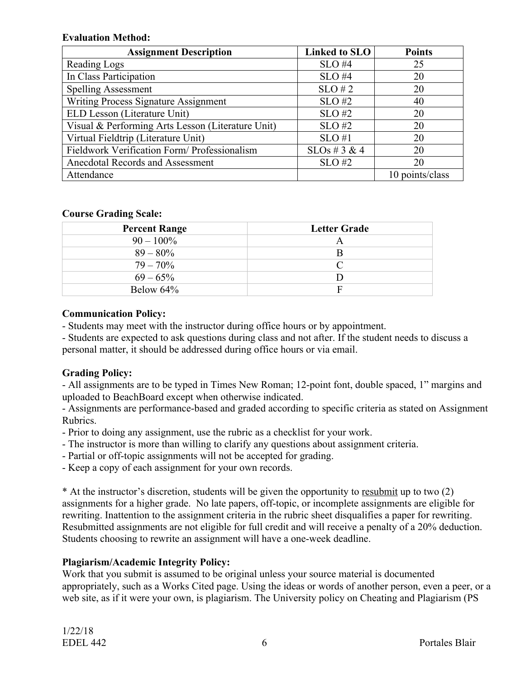#### **Evaluation Method:**

| <b>Assignment Description</b>                     | <b>Linked to SLO</b> | <b>Points</b>   |
|---------------------------------------------------|----------------------|-----------------|
| Reading Logs                                      | $SLO$ #4             | 25              |
| In Class Participation                            | $SLO$ #4             | 20              |
| <b>Spelling Assessment</b>                        | $SLO \# 2$           | 20              |
| <b>Writing Process Signature Assignment</b>       | $SLO$ #2             | 40              |
| ELD Lesson (Literature Unit)                      | $SLO$ #2             | 20              |
| Visual & Performing Arts Lesson (Literature Unit) | $SLO$ #2             | 20              |
| Virtual Fieldtrip (Literature Unit)               | $SLO$ #1             | 20              |
| Fieldwork Verification Form/ Professionalism      | $SLOs \# 3 \& 4$     | 20              |
| Anecdotal Records and Assessment                  | $SLO$ #2             | 20              |
| Attendance                                        |                      | 10 points/class |

#### **Course Grading Scale:**

| <b>Percent Range</b> | <b>Letter Grade</b> |
|----------------------|---------------------|
| $90 - 100\%$         | A                   |
| $89 - 80\%$          | B                   |
| $79 - 70\%$          |                     |
| $69 - 65\%$          |                     |
| Below 64%            | F                   |

#### **Communication Policy:**

- Students may meet with the instructor during office hours or by appointment.

- Students are expected to ask questions during class and not after. If the student needs to discuss a personal matter, it should be addressed during office hours or via email.

#### **Grading Policy:**

- All assignments are to be typed in Times New Roman; 12-point font, double spaced, 1" margins and uploaded to BeachBoard except when otherwise indicated.

- Assignments are performance-based and graded according to specific criteria as stated on Assignment Rubrics.

- Prior to doing any assignment, use the rubric as a checklist for your work.
- The instructor is more than willing to clarify any questions about assignment criteria.
- Partial or off-topic assignments will not be accepted for grading.

- Keep a copy of each assignment for your own records.

\* At the instructor's discretion, students will be given the opportunity to resubmit up to two (2) assignments for a higher grade. No late papers, off-topic, or incomplete assignments are eligible for rewriting. Inattention to the assignment criteria in the rubric sheet disqualifies a paper for rewriting. Resubmitted assignments are not eligible for full credit and will receive a penalty of a 20% deduction. Students choosing to rewrite an assignment will have a one-week deadline.

#### **Plagiarism/Academic Integrity Policy:**

Work that you submit is assumed to be original unless your source material is documented appropriately, such as a Works Cited page. Using the ideas or words of another person, even a peer, or a web site, as if it were your own, is plagiarism. The University policy on Cheating and Plagiarism (PS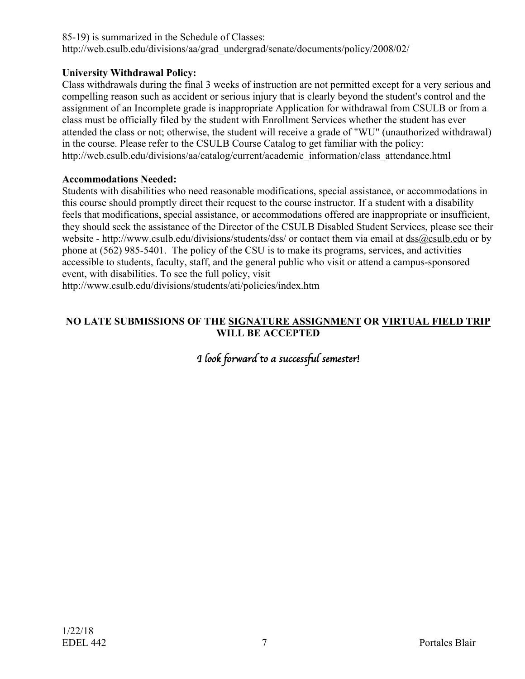85-19) is summarized in the Schedule of Classes: http://web.csulb.edu/divisions/aa/grad\_undergrad/senate/documents/policy/2008/02/

#### **University Withdrawal Policy:**

Class withdrawals during the final 3 weeks of instruction are not permitted except for a very serious and compelling reason such as accident or serious injury that is clearly beyond the student's control and the assignment of an Incomplete grade is inappropriate Application for withdrawal from CSULB or from a class must be officially filed by the student with Enrollment Services whether the student has ever attended the class or not; otherwise, the student will receive a grade of "WU" (unauthorized withdrawal) in the course. Please refer to the CSULB Course Catalog to get familiar with the policy: http://web.csulb.edu/divisions/aa/catalog/current/academic\_information/class\_attendance.html

#### **Accommodations Needed:**

Students with disabilities who need reasonable modifications, special assistance, or accommodations in this course should promptly direct their request to the course instructor. If a student with a disability feels that modifications, special assistance, or accommodations offered are inappropriate or insufficient, they should seek the assistance of the Director of the CSULB Disabled Student Services, please see their website - http://www.csulb.edu/divisions/students/dss/ or contact them via email at  $dss@csulb.edu$  or by phone at (562) 985-5401. The policy of the CSU is to make its programs, services, and activities accessible to students, faculty, staff, and the general public who visit or attend a campus-sponsored event, with disabilities. To see the full policy, visit

http://www.csulb.edu/divisions/students/ati/policies/index.htm

#### **NO LATE SUBMISSIONS OF THE SIGNATURE ASSIGNMENT OR VIRTUAL FIELD TRIP WILL BE ACCEPTED**

# *I look forward to a successful semester!*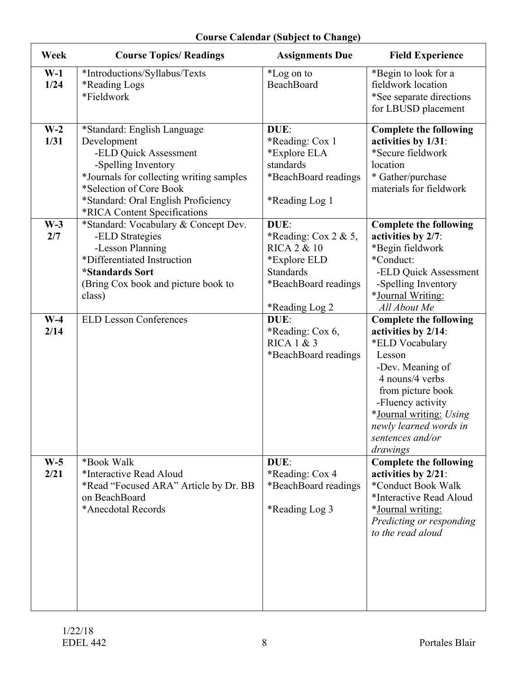| Week          | <b>Course Topics/ Readings</b>                                                                                                                                                                                                           | <b>Assignments Due</b>                                                                                                                       | <b>Field Experience</b>                                                                                                                                                                                                                                 |
|---------------|------------------------------------------------------------------------------------------------------------------------------------------------------------------------------------------------------------------------------------------|----------------------------------------------------------------------------------------------------------------------------------------------|---------------------------------------------------------------------------------------------------------------------------------------------------------------------------------------------------------------------------------------------------------|
| $W-1$<br>1/24 | *Introductions/Syllabus/Texts<br>*Reading Logs<br>*Fieldwork                                                                                                                                                                             | *Log on to<br>BeachBoard                                                                                                                     | *Begin to look for a<br>fieldwork location<br>*See separate directions<br>for LBUSD placement                                                                                                                                                           |
| $W-2$<br>1/31 | *Standard: English Language<br>Development<br>-ELD Quick Assessment<br>-Spelling Inventory<br>*Journals for collecting writing samples<br>*Selection of Core Book<br>*Standard: Oral English Proficiency<br>*RICA Content Specifications | DUE:<br>*Reading: Cox 1<br>*Explore ELA<br>standards<br>*BeachBoard readings<br>*Reading Log 1                                               | <b>Complete the following</b><br>activities by 1/31:<br>*Secure fieldwork<br>location<br>* Gather/purchase<br>materials for fieldwork                                                                                                                   |
| $W-3$<br>2/7  | *Standard: Vocabulary & Concept Dev.<br>-ELD Strategies<br>-Lesson Planning<br>*Differentiated Instruction<br><i><b>*Standards Sort</b></i><br>(Bring Cox book and picture book to<br>class)                                             | DUE:<br>*Reading: Cox 2 & 5,<br><b>RICA 2 &amp; 10</b><br>*Explore ELD<br><b>Standards</b><br>*BeachBoard readings<br><i>*</i> Reading Log 2 | <b>Complete the following</b><br>activities by 2/7:<br>*Begin fieldwork<br>*Conduct:<br>-ELD Quick Assessment<br>-Spelling Inventory<br>*Journal Writing:<br>All About Me                                                                               |
| $W-4$<br>2/14 | <b>ELD Lesson Conferences</b>                                                                                                                                                                                                            | DUE:<br>*Reading: Cox 6,<br>RICA 1 & 3<br>*BeachBoard readings                                                                               | <b>Complete the following</b><br>activities by 2/14:<br>*ELD Vocabulary<br>Lesson<br>-Dev. Meaning of<br>4 nouns/4 verbs<br>from picture book<br>-Fluency activity<br>*Journal writing: Using<br>newly learned words in<br>sentences and/or<br>drawings |
| $W-5$<br>2/21 | *Book Walk<br>*Interactive Read Aloud<br>*Read "Focused ARA" Article by Dr. BB<br>on BeachBoard<br>*Anecdotal Records                                                                                                                    | DUE:<br>*Reading: Cox 4<br>*BeachBoard readings<br>*Reading Log 3                                                                            | <b>Complete the following</b><br>activities by 2/21:<br>*Conduct Book Walk<br>*Interactive Read Aloud<br>*Journal writing:<br>Predicting or responding<br>to the read aloud                                                                             |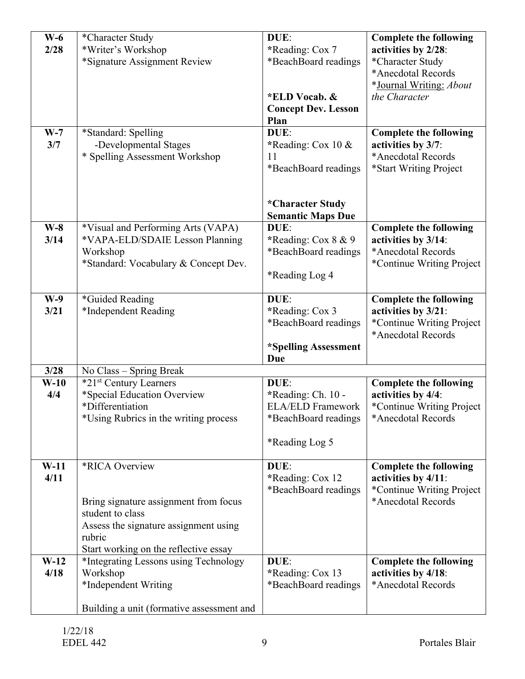| $W-6$<br>2/28<br>$W-7$<br>3/7 | *Character Study<br>*Writer's Workshop<br>*Signature Assignment Review<br>*Standard: Spelling<br>-Developmental Stages                                                                | DUE:<br>*Reading: Cox 7<br>*BeachBoard readings<br>*ELD Vocab. &<br><b>Concept Dev. Lesson</b><br>Plan<br>DUE: | <b>Complete the following</b><br>activities by 2/28:<br>*Character Study<br>*Anecdotal Records<br>*Journal Writing: About<br>the Character<br><b>Complete the following</b><br>activities by 3/7: |
|-------------------------------|---------------------------------------------------------------------------------------------------------------------------------------------------------------------------------------|----------------------------------------------------------------------------------------------------------------|---------------------------------------------------------------------------------------------------------------------------------------------------------------------------------------------------|
| $W-8$                         | * Spelling Assessment Workshop<br>*Visual and Performing Arts (VAPA)                                                                                                                  | *Reading: Cox 10 $&$<br>11<br>*BeachBoard readings<br>*Character Study<br><b>Semantic Maps Due</b><br>DUE:     | *Anecdotal Records<br>*Start Writing Project<br><b>Complete the following</b>                                                                                                                     |
| 3/14                          | *VAPA-ELD/SDAIE Lesson Planning<br>Workshop<br>*Standard: Vocabulary & Concept Dev.                                                                                                   | *Reading: Cox $8 \& 9$<br>*BeachBoard readings<br>*Reading Log 4                                               | activities by 3/14:<br>*Anecdotal Records<br>*Continue Writing Project                                                                                                                            |
| $W-9$<br>3/21                 | *Guided Reading<br>*Independent Reading                                                                                                                                               | DUE:<br>*Reading: Cox 3<br>*BeachBoard readings<br>*Spelling Assessment<br>Due                                 | <b>Complete the following</b><br>activities by 3/21:<br>*Continue Writing Project<br>*Anecdotal Records                                                                                           |
| 3/28                          | No Class - Spring Break                                                                                                                                                               |                                                                                                                |                                                                                                                                                                                                   |
| $W-10$<br>4/4                 | *21 <sup>st</sup> Century Learners<br>*Special Education Overview<br>*Differentiation<br>*Using Rubrics in the writing process                                                        | DUE:<br>*Reading: Ch. 10 -<br><b>ELA/ELD Framework</b><br>*BeachBoard readings<br>*Reading Log 5               | <b>Complete the following</b><br>activities by 4/4:<br>*Continue Writing Project<br>*Anecdotal Records                                                                                            |
| $W-11$<br>4/11                | <i><b>*RICA Overview</b></i><br>Bring signature assignment from focus<br>student to class<br>Assess the signature assignment using<br>rubric<br>Start working on the reflective essay | DUE:<br>*Reading: Cox 12<br>*BeachBoard readings                                                               | <b>Complete the following</b><br>activities by 4/11:<br>*Continue Writing Project<br>*Anecdotal Records                                                                                           |
| $W-12$<br>4/18                | *Integrating Lessons using Technology<br>Workshop<br>*Independent Writing<br>Building a unit (formative assessment and                                                                | DUE:<br>*Reading: Cox 13<br>*BeachBoard readings                                                               | <b>Complete the following</b><br>activities by 4/18:<br>*Anecdotal Records                                                                                                                        |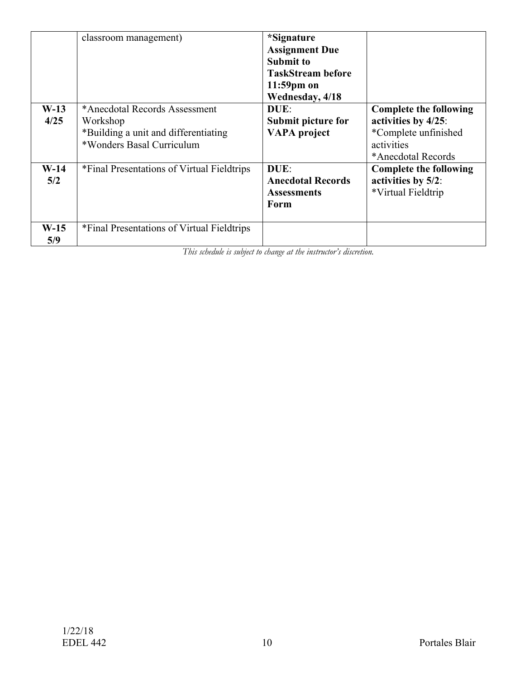|                    | classroom management)                                                                                          | <i>*Signature</i><br><b>Assignment Due</b><br><b>Submit to</b><br><b>TaskStream before</b><br>$11:59$ pm on<br>Wednesday, 4/18 |                                                                                                                  |
|--------------------|----------------------------------------------------------------------------------------------------------------|--------------------------------------------------------------------------------------------------------------------------------|------------------------------------------------------------------------------------------------------------------|
| $W-13$<br>4/25     | *Anecdotal Records Assessment<br>Workshop<br>*Building a unit and differentiating<br>*Wonders Basal Curriculum | DUE:<br>Submit picture for<br><b>VAPA</b> project                                                                              | <b>Complete the following</b><br>activities by 4/25:<br>*Complete unfinished<br>activities<br>*Anecdotal Records |
| $W-14$<br>5/2      | *Final Presentations of Virtual Fieldtrips                                                                     | DUE:<br><b>Anecdotal Records</b><br><b>Assessments</b><br>Form                                                                 | <b>Complete the following</b><br>activities by 5/2:<br>*Virtual Fieldtrip                                        |
| <b>W-15</b><br>5/9 | *Final Presentations of Virtual Fieldtrips                                                                     |                                                                                                                                |                                                                                                                  |

*This schedule is subject to change at the instructor's discretion.*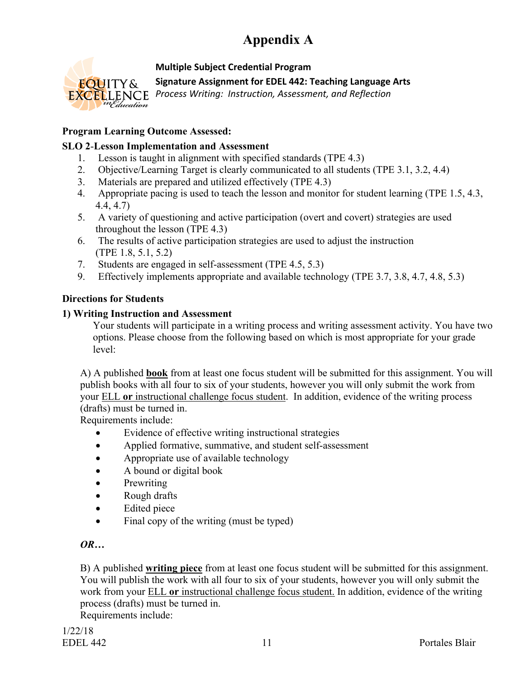# **Appendix A**



#### **Multiple Subject Credential Program**

**Signature Assignment for EDEL 442: Teaching Language Arts**

*Process Writing: Instruction, Assessment, and Reflection*

#### **Program Learning Outcome Assessed:**

#### **SLO 2**-**Lesson Implementation and Assessment**

- 1. Lesson is taught in alignment with specified standards (TPE 4.3)
- 2. Objective/Learning Target is clearly communicated to all students (TPE 3.1, 3.2, 4.4)
- 3. Materials are prepared and utilized effectively (TPE 4.3)
- 4. Appropriate pacing is used to teach the lesson and monitor for student learning (TPE 1.5, 4.3, 4.4, 4.7)
- 5. A variety of questioning and active participation (overt and covert) strategies are used throughout the lesson (TPE 4.3)
- 6. The results of active participation strategies are used to adjust the instruction (TPE 1.8, 5.1, 5.2)
- 7. Students are engaged in self-assessment (TPE 4.5, 5.3)
- 9. Effectively implements appropriate and available technology (TPE 3.7, 3.8, 4.7, 4.8, 5.3)

#### **Directions for Students**

#### **1) Writing Instruction and Assessment**

Your students will participate in a writing process and writing assessment activity. You have two options. Please choose from the following based on which is most appropriate for your grade level:

A) A published **book** from at least one focus student will be submitted for this assignment. You will publish books with all four to six of your students, however you will only submit the work from your ELL **or** instructional challenge focus student. In addition, evidence of the writing process (drafts) must be turned in.

Requirements include:

- Evidence of effective writing instructional strategies
- Applied formative, summative, and student self-assessment
- Appropriate use of available technology
- A bound or digital book
- Prewriting
- Rough drafts
- Edited piece
- Final copy of the writing (must be typed)

#### *OR…*

B) A published **writing piece** from at least one focus student will be submitted for this assignment. You will publish the work with all four to six of your students, however you will only submit the work from your ELL **or** instructional challenge focus student. In addition, evidence of the writing process (drafts) must be turned in.

Requirements include: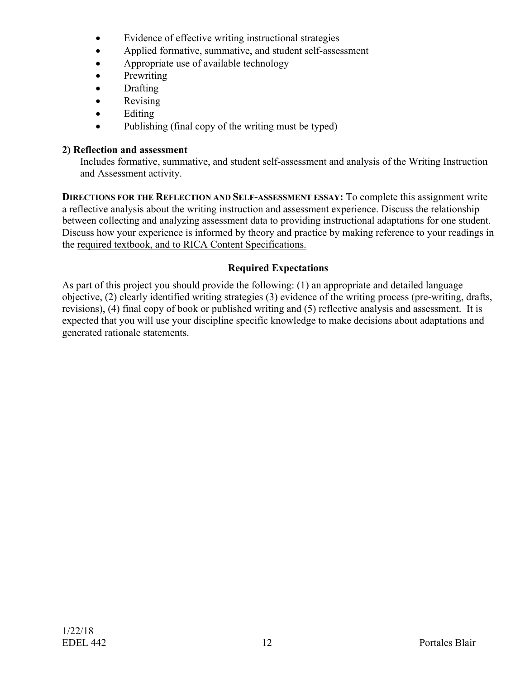- Evidence of effective writing instructional strategies
- Applied formative, summative, and student self-assessment
- Appropriate use of available technology
- Prewriting
- Drafting
- Revising
- Editing
- Publishing (final copy of the writing must be typed)

#### **2) Reflection and assessment**

Includes formative, summative, and student self-assessment and analysis of the Writing Instruction and Assessment activity.

**DIRECTIONS FOR THE REFLECTION AND SELF-ASSESSMENT ESSAY:** To complete this assignment write a reflective analysis about the writing instruction and assessment experience. Discuss the relationship between collecting and analyzing assessment data to providing instructional adaptations for one student. Discuss how your experience is informed by theory and practice by making reference to your readings in the required textbook, and to RICA Content Specifications.

#### **Required Expectations**

As part of this project you should provide the following: (1) an appropriate and detailed language objective, (2) clearly identified writing strategies (3) evidence of the writing process (pre-writing, drafts, revisions), (4) final copy of book or published writing and (5) reflective analysis and assessment. It is expected that you will use your discipline specific knowledge to make decisions about adaptations and generated rationale statements.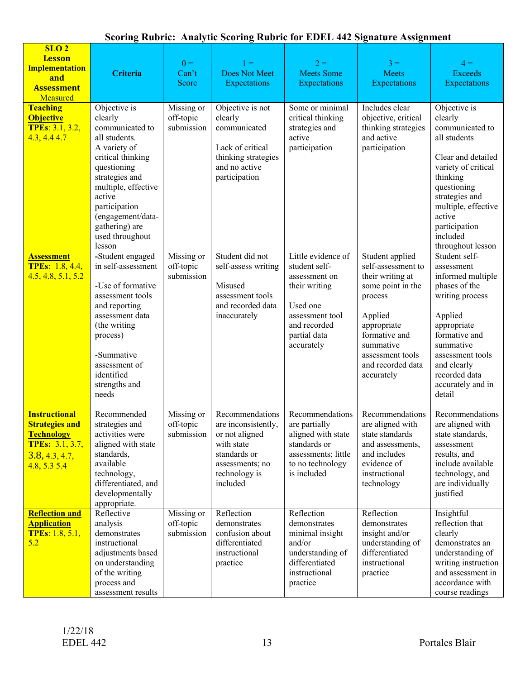# **Scoring Rubric: Analytic Scoring Rubric for EDEL 442 Signature Assignment**

| SLO <sub>2</sub><br><b>Lesson</b><br><b>Implementation</b><br>and<br><b>Assessment</b><br>Measured<br>Teaching<br><b>Objective</b><br><b>TPEs: 3.1, 3.2,</b><br>4.3, 4.44.7 | Criteria<br>Objective is<br>clearly<br>communicated to<br>all students.<br>A variety of<br>critical thinking<br>questioning<br>strategies and<br>multiple, effective<br>active<br>participation    | $0 =$<br>Can't<br>Score<br>Missing or<br>off-topic<br>submission | $1 =$<br><b>Does Not Meet</b><br>Expectations<br>Objective is not<br>clearly<br>communicated<br>Lack of critical<br>thinking strategies<br>and no active<br>participation | $2 =$<br><b>Meets Some</b><br>Expectations<br>Some or minimal<br>critical thinking<br>strategies and<br>active<br>participation  | $3 =$<br><b>Meets</b><br>Expectations<br>Includes clear<br>objective, critical<br>thinking strategies<br>and active<br>participation                                                  | $4 =$<br><b>Exceeds</b><br>Expectations<br>Objective is<br>clearly<br>communicated to<br>all students<br>Clear and detailed<br>variety of critical<br>thinking<br>questioning<br>strategies and<br>multiple, effective |
|-----------------------------------------------------------------------------------------------------------------------------------------------------------------------------|----------------------------------------------------------------------------------------------------------------------------------------------------------------------------------------------------|------------------------------------------------------------------|---------------------------------------------------------------------------------------------------------------------------------------------------------------------------|----------------------------------------------------------------------------------------------------------------------------------|---------------------------------------------------------------------------------------------------------------------------------------------------------------------------------------|------------------------------------------------------------------------------------------------------------------------------------------------------------------------------------------------------------------------|
| <b>Assessment</b>                                                                                                                                                           | (engagement/data-<br>gathering) are<br>used throughout<br>lesson<br>-Student engaged                                                                                                               | Missing or                                                       | Student did not                                                                                                                                                           | Little evidence of                                                                                                               | Student applied                                                                                                                                                                       | active<br>participation<br>included<br>throughout lesson<br>Student self-                                                                                                                                              |
| <b>TPEs: 1.8, 4.4,</b><br>4.5, 4.8, 5.1, 5.2                                                                                                                                | in self-assessment<br>-Use of formative<br>assessment tools<br>and reporting<br>assessment data<br>(the writing<br>process)<br>-Summative<br>assessment of<br>identified<br>strengths and<br>needs | off-topic<br>submission                                          | self-assess writing<br>Misused<br>assessment tools<br>and recorded data<br>inaccurately                                                                                   | student self-<br>assessment on<br>their writing<br>Used one<br>assessment tool<br>and recorded<br>partial data<br>accurately     | self-assessment to<br>their writing at<br>some point in the<br>process<br>Applied<br>appropriate<br>formative and<br>summative<br>assessment tools<br>and recorded data<br>accurately | assessment<br>informed multiple<br>phases of the<br>writing process<br>Applied<br>appropriate<br>formative and<br>summative<br>assessment tools<br>and clearly<br>recorded data<br>accurately and in<br>detail         |
| <b>Instructional</b><br><b>Strategies and</b><br><b>Technology</b><br><b>TPEs:</b> 3.1, 3.7,<br>3.8, 4.3, 4.7,<br>4.8, 5.3, 5.4                                             | Recommended<br>strategies and<br>activities were<br>aligned with state<br>standards,<br>available<br>technology,<br>differentiated, and<br>developmentally<br>appropriate.                         | Missing or<br>off-topic<br>submission                            | Recommendations<br>are inconsistently,<br>or not aligned<br>with state<br>standards or<br>assessments; no<br>technology is<br>included                                    | Recommendations<br>are partially<br>aligned with state<br>standards or<br>assessments; little<br>to no technology<br>is included | Recommendations<br>are aligned with<br>state standards<br>and assessments,<br>and includes<br>evidence of<br>instructional<br>technology                                              | Recommendations<br>are aligned with<br>state standards,<br>assessment<br>results, and<br>include available<br>technology, and<br>are individually<br>justified                                                         |
| <b>Reflection and</b><br><b>Application</b><br><b>TPEs: 1.8, 5.1,</b><br>5.2                                                                                                | Reflective<br>analysis<br>demonstrates<br>instructional<br>adjustments based<br>on understanding<br>of the writing<br>process and<br>assessment results                                            | Missing or<br>off-topic<br>submission                            | Reflection<br>demonstrates<br>confusion about<br>differentiated<br>instructional<br>practice                                                                              | Reflection<br>demonstrates<br>minimal insight<br>and/or<br>understanding of<br>differentiated<br>instructional<br>practice       | Reflection<br>demonstrates<br>insight and/or<br>understanding of<br>differentiated<br>instructional<br>practice                                                                       | Insightful<br>reflection that<br>clearly<br>demonstrates an<br>understanding of<br>writing instruction<br>and assessment in<br>accordance with<br>course readings                                                      |